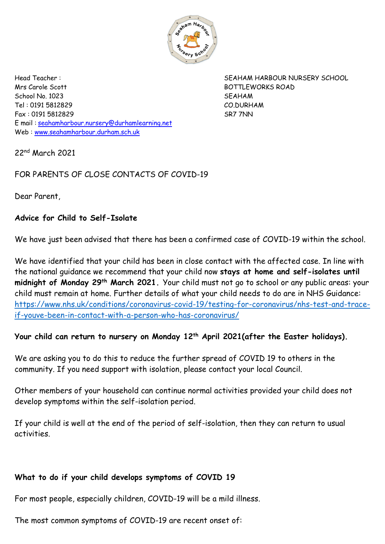

Mrs Carole Scott BOTTLEWORKS ROAD School No. 1023 SEAHAM Tel : 0191 5812829 CO.DURHAM Fax : 0191 5812829 SR7 7NN E mail : [seahamharbour.nursery@durhamlearning.net](mailto:seahamharbour.nursery@durhamlearning.net) Web : [www.seahamharbour.durham.sch.uk](http://www.seahamharbour.durham.sch.uk/)

Head Teacher : SEAHAM HARBOUR NURSERY SCHOOL

22nd March 2021

# FOR PARENTS OF CLOSE CONTACTS OF COVID-19

Dear Parent,

## **Advice for Child to Self-Isolate**

We have just been advised that there has been a confirmed case of COVID-19 within the school.

We have identified that your child has been in close contact with the affected case. In line with the national guidance we recommend that your child now **stays at home and self-isolates until midnight of Monday 29th March 2021.** Your child must not go to school or any public areas: your child must remain at home. Further details of what your child needs to do are in NHS Guidance: [https://www.nhs.uk/conditions/coronavirus-covid-19/testing-for-coronavirus/nhs-test-and-trace](https://www.nhs.uk/conditions/coronavirus-covid-19/testing-for-coronavirus/nhs-test-and-trace-if-youve-been-in-contact-with-a-person-who-has-coronavirus/)[if-youve-been-in-contact-with-a-person-who-has-coronavirus/](https://www.nhs.uk/conditions/coronavirus-covid-19/testing-for-coronavirus/nhs-test-and-trace-if-youve-been-in-contact-with-a-person-who-has-coronavirus/)

## **Your child can return to nursery on Monday 12th April 2021(after the Easter holidays).**

We are asking you to do this to reduce the further spread of COVID 19 to others in the community. If you need support with isolation, please contact your local Council.

Other members of your household can continue normal activities provided your child does not develop symptoms within the self-isolation period.

If your child is well at the end of the period of self-isolation, then they can return to usual activities.

## **What to do if your child develops symptoms of COVID 19**

For most people, especially children, COVID-19 will be a mild illness.

The most common symptoms of COVID-19 are recent onset of: